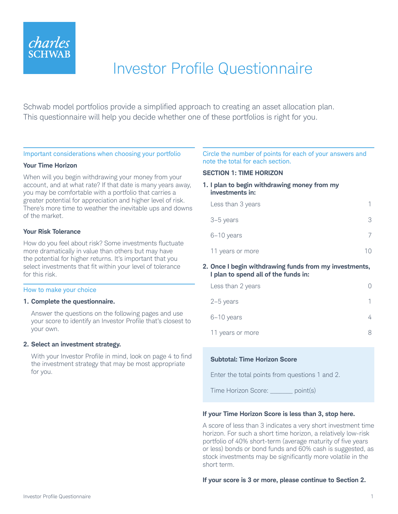

# Investor Profile Questionnaire

Schwab model portfolios provide a simplified approach to creating an asset allocation plan. This questionnaire will help you decide whether one of these portfolios is right for you.

## Important considerations when choosing your portfolio

#### **Your Time Horizon**

When will you begin withdrawing your money from your account, and at what rate? If that date is many years away, you may be comfortable with a portfolio that carries a greater potential for appreciation and higher level of risk. There's more time to weather the inevitable ups and downs of the market.

#### **Your Risk Tolerance**

How do you feel about risk? Some investments fluctuate more dramatically in value than others but may have the potential for higher returns. It's important that you select investments that fit within your level of tolerance for this risk.

#### How to make your choice

#### **1. Complete the questionnaire.**

Answer the questions on the following pages and use your score to identify an Investor Profile that's closest to your own.

#### **2. Select an investment strategy.**

With your Investor Profile in mind, look on page 4 to find the investment strategy that may be most appropriate for you.

## Circle the number of points for each of your answers and note the total for each section.

#### **SECTION 1: TIME HORIZON**

## **1. I plan to begin withdrawing money from my investments in:**

| Less than 3 years |   |
|-------------------|---|
| 3-5 years         | ∹ |
| 6-10 years        |   |
| 11 years or more  |   |

#### **2. Once I begin withdrawing funds from my investments, I plan to spend all of the funds in:**

| Less than 2 years |  |
|-------------------|--|
| $2-5$ years       |  |
| 6-10 years        |  |
| 11 years or more  |  |

## **Subtotal: Time Horizon Score**

Enter the total points from questions 1 and 2.

Time Horizon Score: \_\_\_\_\_\_ point(s)

## **If your Time Horizon Score is less than 3, stop here.**

A score of less than 3 indicates a very short investment time horizon. For such a short time horizon, a relatively low-risk portfolio of 40% short-term (average maturity of five years or less) bonds or bond funds and 60% cash is suggested, as stock investments may be significantly more volatile in the short term.

#### **If your score is 3 or more, please continue to Section 2.**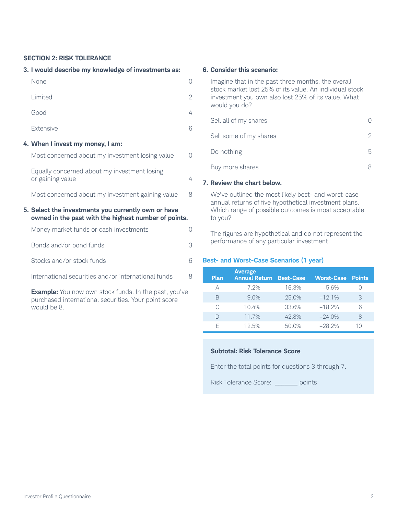## **SECTION 2: RISK TOLERANCE**

#### **3. I would describe my knowledge of investments as:**

| None                                                                                                        |           |
|-------------------------------------------------------------------------------------------------------------|-----------|
| Limited                                                                                                     | 2         |
| Good                                                                                                        | 4         |
| Extensive                                                                                                   | 6         |
| 4. When I invest my money, I am:                                                                            |           |
| Most concerned about my investment losing value                                                             | $\bigcap$ |
| Equally concerned about my investment losing<br>or gaining value                                            | 4         |
| Most concerned about my investment gaining value                                                            | 8         |
| 5. Select the investments you currently own or have<br>owned in the past with the highest number of points. |           |
| Money market funds or cash investments                                                                      | 0         |
| Bonds and/or bond funds                                                                                     | 3         |
| Stocks and/or stock funds                                                                                   | 6         |
| International securities and/or international funds                                                         | 8         |

**Example:** You now own stock funds. In the past, you've purchased international securities. Your point score would be 8.

#### **6. Consider this scenario:**

| Imagine that in the past three months, the overall<br>stock market lost 25% of its value. An individual stock<br>investment you own also lost 25% of its value. What<br>would you do? |   |
|---------------------------------------------------------------------------------------------------------------------------------------------------------------------------------------|---|
| Sell all of my shares                                                                                                                                                                 |   |
| Sell some of my shares                                                                                                                                                                |   |
| Do nothing                                                                                                                                                                            | 5 |
| Buy more shares                                                                                                                                                                       |   |
|                                                                                                                                                                                       |   |

## **7. Review the chart below.**

We've outlined the most likely best- and worst-case annual returns of five hypothetical investment plans. Which range of possible outcomes is most acceptable to you?

The figures are hypothetical and do not represent the performance of any particular investment.

## **Best- and Worst-Case Scenarios (1 year)**

| <b>Plan</b> | <b>Average</b><br><b>Annual Return</b> | <b>Best-Case</b> | <b>Worst-Case Points</b> |    |
|-------------|----------------------------------------|------------------|--------------------------|----|
| А           | 7 2%                                   | 16.3%            | $-5.6%$                  |    |
| R           | 9.0%                                   | 25.0%            | $-12.1%$                 | 3  |
| C.          | 10.4%                                  | 33.6%            | $-18.2%$                 | 6  |
|             | 11.7%                                  | 42.8%            | $-24.0%$                 | 8  |
|             | 12.5%                                  | 50.0%            | $-28.2%$                 | 1Λ |

## **Subtotal: Risk Tolerance Score**

Enter the total points for questions 3 through 7.

Risk Tolerance Score: \_\_\_\_\_\_\_ points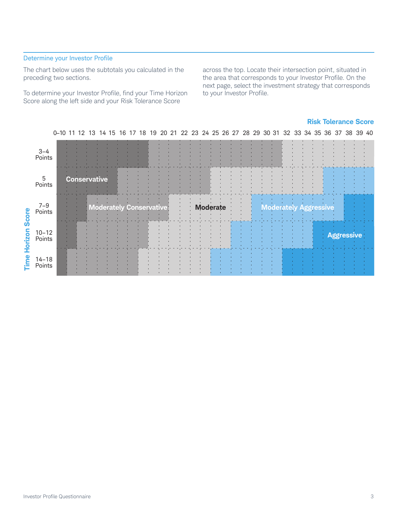# Determine your Investor Profile

The chart below uses the subtotals you calculated in the preceding two sections.

To determine your Investor Profile, find your Time Horizon Score along the left side and your Risk Tolerance Score

across the top. Locate their intersection point, situated in the area that corresponds to your Investor Profile. On the next page, select the investment strategy that corresponds to your Investor Profile.

## **Risk Tolerance Score**

|                |                     |  |    |  |  |  | 0-10 11 12 13 14 15 16 17 18 19 20 21 22 23 24 25 26 27 28 29 30 31 32 33 34 35 36 37 38 39 40 |  |  |  |  |  |  |  |  |  |  |  |
|----------------|---------------------|--|----|--|--|--|------------------------------------------------------------------------------------------------|--|--|--|--|--|--|--|--|--|--|--|
|                | 3-4<br>Points       |  |    |  |  |  |                                                                                                |  |  |  |  |  |  |  |  |  |  |  |
|                | 5<br>Points         |  | Co |  |  |  |                                                                                                |  |  |  |  |  |  |  |  |  |  |  |
| core           | 7-9<br>Points       |  |    |  |  |  |                                                                                                |  |  |  |  |  |  |  |  |  |  |  |
| ທ<br>izon<br>ō | 10-12<br>Points     |  |    |  |  |  |                                                                                                |  |  |  |  |  |  |  |  |  |  |  |
| <u>eum</u>     | $14 - 18$<br>Points |  |    |  |  |  |                                                                                                |  |  |  |  |  |  |  |  |  |  |  |